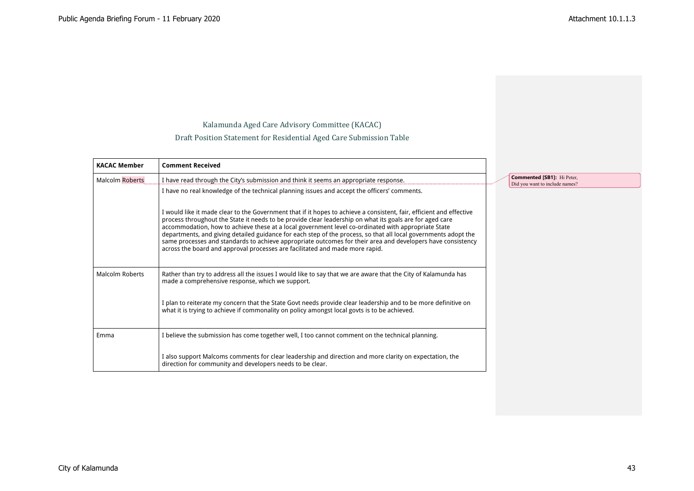Kalamunda Aged Care Advisory Committee (KACAC)

Draft Position Statement for Residential Aged Care Submission Table

| <b>KACAC Member</b>    | <b>Comment Received</b>                                                                                                                                                                                                                                                                                                                                                                                                                                                                                                                                                                                                                                   |                                                              |
|------------------------|-----------------------------------------------------------------------------------------------------------------------------------------------------------------------------------------------------------------------------------------------------------------------------------------------------------------------------------------------------------------------------------------------------------------------------------------------------------------------------------------------------------------------------------------------------------------------------------------------------------------------------------------------------------|--------------------------------------------------------------|
| <b>Malcolm Roberts</b> | I have read through the City's submission and think it seems an appropriate response.                                                                                                                                                                                                                                                                                                                                                                                                                                                                                                                                                                     | Commented [SB1]: Hi Peter,<br>Did you want to include names? |
|                        | I have no real knowledge of the technical planning issues and accept the officers' comments.                                                                                                                                                                                                                                                                                                                                                                                                                                                                                                                                                              |                                                              |
|                        | I would like it made clear to the Government that if it hopes to achieve a consistent, fair, efficient and effective<br>process throughout the State it needs to be provide clear leadership on what its goals are for aged care<br>accommodation, how to achieve these at a local government level co-ordinated with appropriate State<br>departments, and giving detailed guidance for each step of the process, so that all local governments adopt the<br>same processes and standards to achieve appropriate outcomes for their area and developers have consistency<br>across the board and approval processes are facilitated and made more rapid. |                                                              |
| <b>Malcolm Roberts</b> | Rather than try to address all the issues I would like to say that we are aware that the City of Kalamunda has<br>made a comprehensive response, which we support.                                                                                                                                                                                                                                                                                                                                                                                                                                                                                        |                                                              |
|                        | I plan to reiterate my concern that the State Govt needs provide clear leadership and to be more definitive on<br>what it is trying to achieve if commonality on policy amongst local govts is to be achieved.                                                                                                                                                                                                                                                                                                                                                                                                                                            |                                                              |
| Emma                   | I believe the submission has come together well, I too cannot comment on the technical planning.                                                                                                                                                                                                                                                                                                                                                                                                                                                                                                                                                          |                                                              |
|                        | also support Malcoms comments for clear leadership and direction and more clarity on expectation, the<br>direction for community and developers needs to be clear.                                                                                                                                                                                                                                                                                                                                                                                                                                                                                        |                                                              |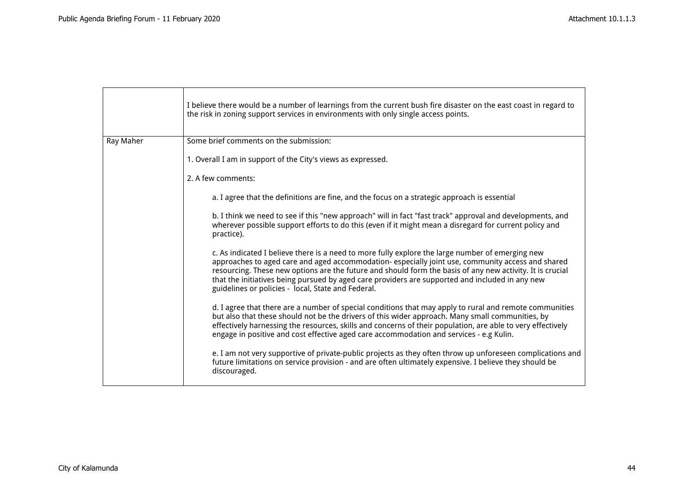|           | I believe there would be a number of learnings from the current bush fire disaster on the east coast in regard to<br>the risk in zoning support services in environments with only single access points.                                                                                                                                                                                                                                                                    |
|-----------|-----------------------------------------------------------------------------------------------------------------------------------------------------------------------------------------------------------------------------------------------------------------------------------------------------------------------------------------------------------------------------------------------------------------------------------------------------------------------------|
| Ray Maher | Some brief comments on the submission:                                                                                                                                                                                                                                                                                                                                                                                                                                      |
|           | 1. Overall I am in support of the City's views as expressed.                                                                                                                                                                                                                                                                                                                                                                                                                |
|           | 2. A few comments:                                                                                                                                                                                                                                                                                                                                                                                                                                                          |
|           | a. I agree that the definitions are fine, and the focus on a strategic approach is essential                                                                                                                                                                                                                                                                                                                                                                                |
|           | b. I think we need to see if this "new approach" will in fact "fast track" approval and developments, and<br>wherever possible support efforts to do this (even if it might mean a disregard for current policy and<br>practice).                                                                                                                                                                                                                                           |
|           | c. As indicated I believe there is a need to more fully explore the large number of emerging new<br>approaches to aged care and aged accommodation- especially joint use, community access and shared<br>resourcing. These new options are the future and should form the basis of any new activity. It is crucial<br>that the initiatives being pursued by aged care providers are supported and included in any new<br>guidelines or policies - local, State and Federal. |
|           | d. I agree that there are a number of special conditions that may apply to rural and remote communities<br>but also that these should not be the drivers of this wider approach. Many small communities, by<br>effectively harnessing the resources, skills and concerns of their population, are able to very effectively<br>engage in positive and cost effective aged care accommodation and services - e.g Kulin.                                                       |
|           | e. I am not very supportive of private-public projects as they often throw up unforeseen complications and<br>future limitations on service provision - and are often ultimately expensive. I believe they should be<br>discouraged.                                                                                                                                                                                                                                        |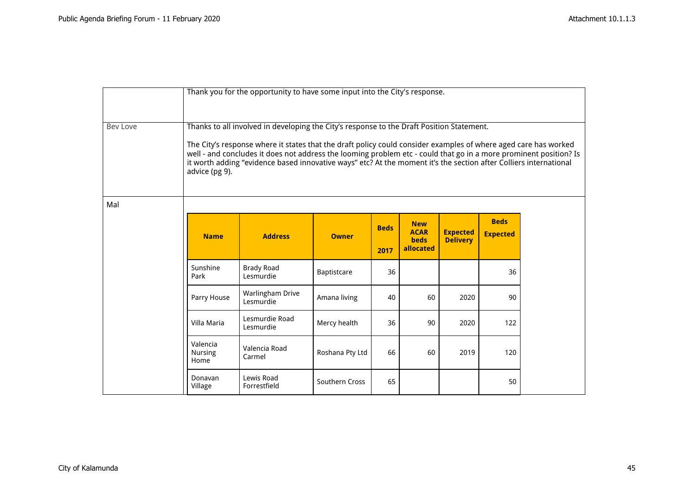|                 | Thank you for the opportunity to have some input into the City's response.                                                                                                                                                                                                                                                                                                                                                                                               |                                |                 |                     |                                                       |                                    |                                |  |
|-----------------|--------------------------------------------------------------------------------------------------------------------------------------------------------------------------------------------------------------------------------------------------------------------------------------------------------------------------------------------------------------------------------------------------------------------------------------------------------------------------|--------------------------------|-----------------|---------------------|-------------------------------------------------------|------------------------------------|--------------------------------|--|
| <b>Bev Love</b> | Thanks to all involved in developing the City's response to the Draft Position Statement.<br>The City's response where it states that the draft policy could consider examples of where aged care has worked<br>well - and concludes it does not address the looming problem etc - could that go in a more prominent position? Is<br>it worth adding "evidence based innovative ways" etc? At the moment it's the section after Colliers international<br>advice (pg 9). |                                |                 |                     |                                                       |                                    |                                |  |
| Mal             |                                                                                                                                                                                                                                                                                                                                                                                                                                                                          |                                |                 |                     |                                                       |                                    |                                |  |
|                 | <b>Name</b>                                                                                                                                                                                                                                                                                                                                                                                                                                                              | <b>Address</b>                 | <b>Owner</b>    | <b>Beds</b><br>2017 | <b>New</b><br><b>ACAR</b><br><b>beds</b><br>allocated | <b>Expected</b><br><b>Delivery</b> | <b>Beds</b><br><b>Expected</b> |  |
|                 | Sunshine<br>Park                                                                                                                                                                                                                                                                                                                                                                                                                                                         | <b>Brady Road</b><br>Lesmurdie | Baptistcare     | 36                  |                                                       |                                    | 36                             |  |
|                 | Parry House                                                                                                                                                                                                                                                                                                                                                                                                                                                              | Warlingham Drive<br>Lesmurdie  | Amana living    | 40                  | 60                                                    | 2020                               | 90                             |  |
|                 | Villa Maria                                                                                                                                                                                                                                                                                                                                                                                                                                                              | Lesmurdie Road<br>Lesmurdie    | Mercy health    | 36                  | 90                                                    | 2020                               | 122                            |  |
|                 | Valencia<br><b>Nursing</b><br>Home                                                                                                                                                                                                                                                                                                                                                                                                                                       | Valencia Road<br>Carmel        | Roshana Pty Ltd | 66                  | 60                                                    | 2019                               | 120                            |  |
|                 | Donavan<br>Village                                                                                                                                                                                                                                                                                                                                                                                                                                                       | Lewis Road<br>Forrestfield     | Southern Cross  | 65                  |                                                       |                                    | 50                             |  |